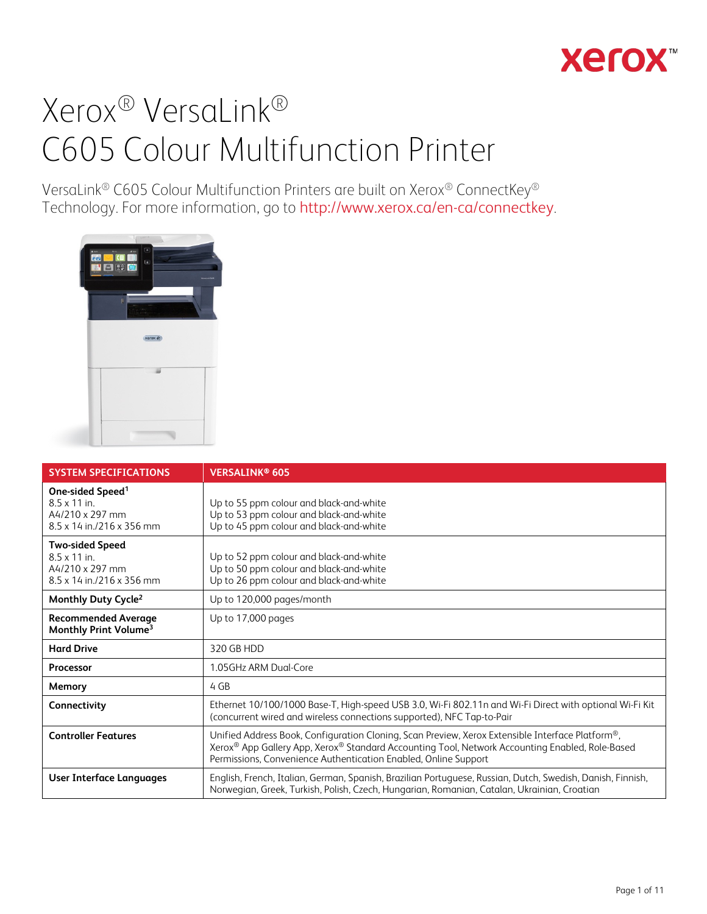## **Xerox**

# Xerox® VersaLink® C605 Colour Multifunction Printer

VersaLink® C605 Colour Multifunction Printers are built on Xerox® ConnectKey® Technology. For more information, go to <http://www.xerox.ca/en-ca/connectkey>.



| <b>SYSTEM SPECIFICATIONS</b>                                                                                      | <b>VERSALINK® 605</b>                                                                                                                                                                                                                                                  |
|-------------------------------------------------------------------------------------------------------------------|------------------------------------------------------------------------------------------------------------------------------------------------------------------------------------------------------------------------------------------------------------------------|
| One-sided Speed <sup>1</sup><br>$8.5 \times 11$ in.<br>A4/210 x 297 mm<br>$8.5 \times 14$ in $/216 \times 356$ mm | Up to 55 ppm colour and black-and-white<br>Up to 53 ppm colour and black-and-white<br>Up to 45 ppm colour and black-and-white                                                                                                                                          |
| <b>Two-sided Speed</b><br>$8.5 \times 11$ in.<br>A4/210 x 297 mm<br>$8.5 \times 14$ in $/216 \times 356$ mm       | Up to 52 ppm colour and black-and-white<br>Up to 50 ppm colour and black-and-white<br>Up to 26 ppm colour and black-and-white                                                                                                                                          |
| Monthly Duty Cycle <sup>2</sup>                                                                                   | Up to 120,000 pages/month                                                                                                                                                                                                                                              |
| <b>Recommended Average</b><br>Monthly Print Volume <sup>3</sup>                                                   | Up to 17,000 pages                                                                                                                                                                                                                                                     |
| <b>Hard Drive</b>                                                                                                 | 320 GB HDD                                                                                                                                                                                                                                                             |
| <b>Processor</b>                                                                                                  | 1.05GHz ARM Dual-Core                                                                                                                                                                                                                                                  |
| Memory                                                                                                            | 4 GB                                                                                                                                                                                                                                                                   |
| Connectivity                                                                                                      | Ethernet 10/100/1000 Base-T, High-speed USB 3.0, Wi-Fi 802.11n and Wi-Fi Direct with optional Wi-Fi Kit<br>(concurrent wired and wireless connections supported), NFC Tap-to-Pair                                                                                      |
| <b>Controller Features</b>                                                                                        | Unified Address Book, Configuration Cloning, Scan Preview, Xerox Extensible Interface Platform®,<br>Xerox® App Gallery App, Xerox® Standard Accounting Tool, Network Accounting Enabled, Role-Based<br>Permissions, Convenience Authentication Enabled, Online Support |
| User Interface Languages                                                                                          | English, French, Italian, German, Spanish, Brazilian Portuguese, Russian, Dutch, Swedish, Danish, Finnish,<br>Norwegian, Greek, Turkish, Polish, Czech, Hungarian, Romanian, Catalan, Ukrainian, Croatian                                                              |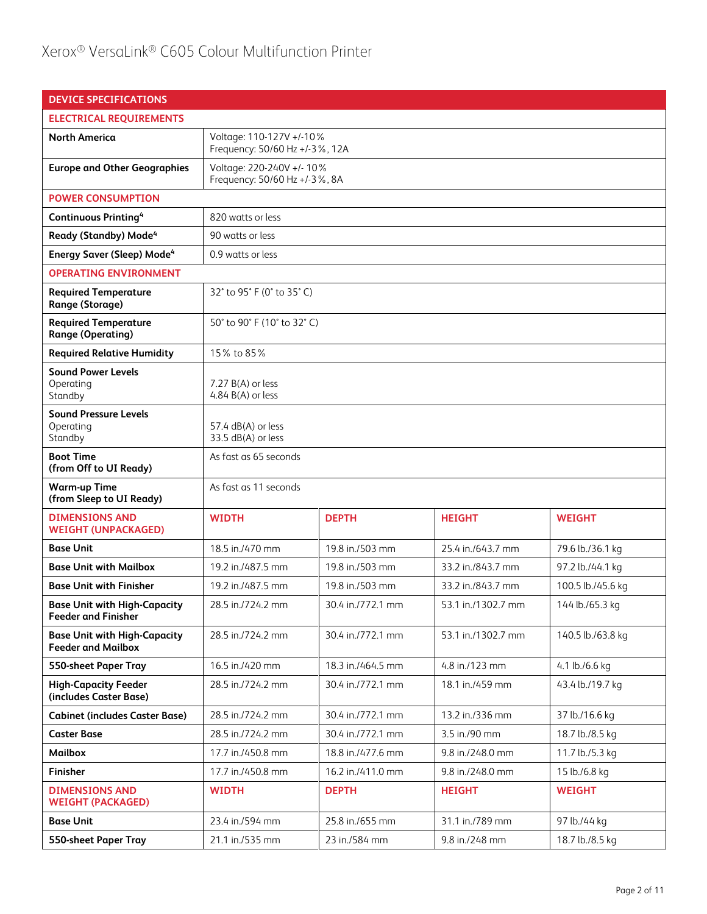| <b>DEVICE SPECIFICATIONS</b>                                      |                                                                |                                                            |                    |                   |
|-------------------------------------------------------------------|----------------------------------------------------------------|------------------------------------------------------------|--------------------|-------------------|
| <b>ELECTRICAL REQUIREMENTS</b>                                    |                                                                |                                                            |                    |                   |
| <b>North America</b>                                              | Voltage: 110-127V +/-10%<br>Frequency: 50/60 Hz +/-3%, 12A     |                                                            |                    |                   |
| <b>Europe and Other Geographies</b>                               |                                                                | Voltage: 220-240V +/- 10%<br>Frequency: 50/60 Hz +/-3%, 8A |                    |                   |
| <b>POWER CONSUMPTION</b>                                          |                                                                |                                                            |                    |                   |
| <b>Continuous Printing4</b>                                       | 820 watts or less                                              |                                                            |                    |                   |
| Ready (Standby) Mode <sup>4</sup>                                 | 90 watts or less                                               |                                                            |                    |                   |
| <b>Energy Saver (Sleep) Mode<sup>4</sup></b>                      | 0.9 watts or less                                              |                                                            |                    |                   |
| <b>OPERATING ENVIRONMENT</b>                                      |                                                                |                                                            |                    |                   |
| <b>Required Temperature</b><br>Range (Storage)                    | 32° to 95° F (0° to 35° C)                                     |                                                            |                    |                   |
| <b>Required Temperature</b><br><b>Range (Operating)</b>           | 50° to 90° F (10° to 32° C)                                    |                                                            |                    |                   |
| <b>Required Relative Humidity</b>                                 | 15% to 85%                                                     |                                                            |                    |                   |
| <b>Sound Power Levels</b><br>Operating<br>Standby                 | $7.27 B(A)$ or less<br>4.84 $B(A)$ or less                     |                                                            |                    |                   |
| <b>Sound Pressure Levels</b><br>Operating<br>Standby              | 57.4 dB(A) or less<br>33.5 dB(A) or less                       |                                                            |                    |                   |
| <b>Boot Time</b><br>(from Off to UI Ready)                        | As fast as 65 seconds                                          |                                                            |                    |                   |
| <b>Warm-up Time</b><br>(from Sleep to UI Ready)                   | As fast as 11 seconds                                          |                                                            |                    |                   |
| <b>DIMENSIONS AND</b><br><b>WEIGHT (UNPACKAGED)</b>               | <b>WIDTH</b>                                                   | <b>DEPTH</b>                                               | <b>HEIGHT</b>      | <b>WEIGHT</b>     |
| <b>Base Unit</b>                                                  | 18.5 in./470 mm                                                | 19.8 in./503 mm                                            | 25.4 in./643.7 mm  | 79.6 lb./36.1 kg  |
| <b>Base Unit with Mailbox</b>                                     | 19.2 in./487.5 mm                                              | 19.8 in./503 mm                                            | 33.2 in./843.7 mm  | 97.2 lb./44.1 kg  |
| <b>Base Unit with Finisher</b>                                    | 19.2 in./487.5 mm                                              | 19.8 in./503 mm                                            | 33.2 in./843.7 mm  | 100.5 lb./45.6 kg |
| <b>Base Unit with High-Capacity</b><br><b>Feeder and Finisher</b> | 28.5 in./724.2 mm                                              | 30.4 in./772.1 mm                                          | 53.1 in./1302.7 mm | 144 lb./65.3 kg   |
| <b>Base Unit with High-Capacity</b><br><b>Feeder and Mailbox</b>  | 28.5 in./724.2 mm                                              | 30.4 in./772.1 mm                                          | 53.1 in./1302.7 mm | 140.5 lb./63.8 kg |
| <b>550-sheet Paper Tray</b>                                       | 16.5 in./420 mm                                                | 18.3 in./464.5 mm                                          | 4.8 in./123 mm     | 4.1 lb./6.6 kg    |
| <b>High-Capacity Feeder</b><br>(includes Caster Base)             | 28.5 in./724.2 mm                                              | 30.4 in./772.1 mm                                          | 18.1 in./459 mm    | 43.4 lb./19.7 kg  |
| <b>Cabinet (includes Caster Base)</b>                             | 28.5 in./724.2 mm                                              | 30.4 in./772.1 mm                                          | 13.2 in./336 mm    | 37 lb./16.6 kg    |
| <b>Caster Base</b>                                                | 28.5 in./724.2 mm                                              | 30.4 in./772.1 mm                                          | 3.5 in./90 mm      | 18.7 lb./8.5 kg   |
| <b>Mailbox</b>                                                    | 17.7 in./450.8 mm                                              | 18.8 in./477.6 mm                                          | 9.8 in./248.0 mm   | 11.7 lb./5.3 kg   |
| <b>Finisher</b>                                                   | 17.7 in./450.8 mm                                              | 16.2 in./411.0 mm                                          | 9.8 in./248.0 mm   | 15 lb./6.8 kg     |
| <b>DIMENSIONS AND</b><br><b>WEIGHT (PACKAGED)</b>                 | <b>DEPTH</b><br><b>WIDTH</b><br><b>HEIGHT</b><br><b>WEIGHT</b> |                                                            |                    |                   |
| <b>Base Unit</b>                                                  | 23.4 in./594 mm                                                | 25.8 in./655 mm                                            | 31.1 in./789 mm    | 97 lb./44 kg      |
| <b>550-sheet Paper Tray</b>                                       | 21.1 in./535 mm                                                | 23 in./584 mm                                              | 9.8 in./248 mm     | 18.7 lb./8.5 kg   |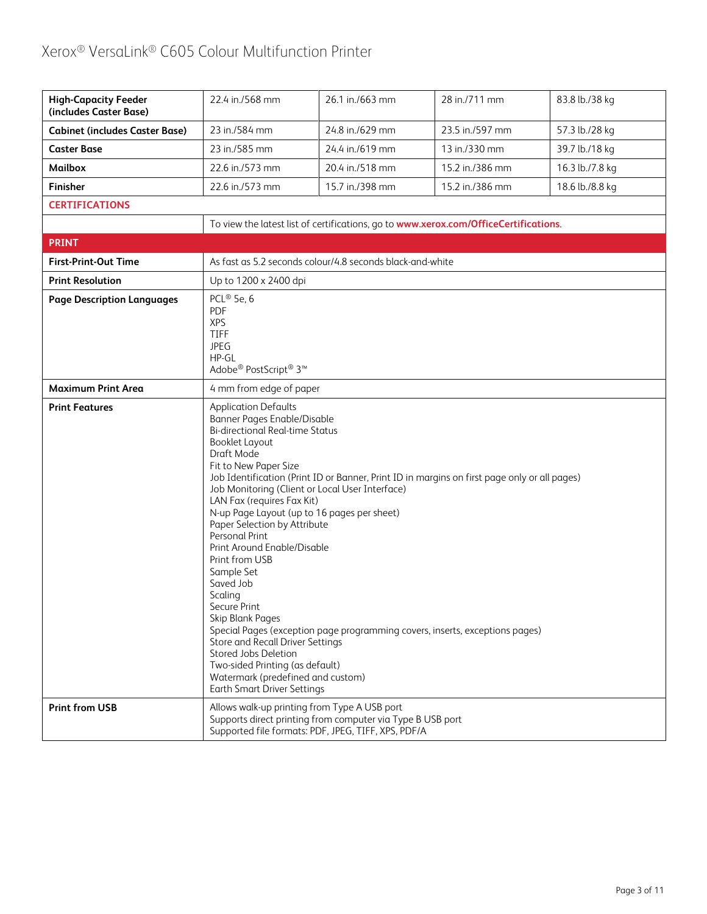| <b>High-Capacity Feeder</b><br>(includes Caster Base) | 22.4 in./568 mm                                                                                                                                                                                                                                                                                                                                                                                                                                                                                                                                           | 26.1 in./663 mm                                                                                                                                                   | 28 in./711 mm                                                                                                                                                                | 83.8 lb./38 kg  |
|-------------------------------------------------------|-----------------------------------------------------------------------------------------------------------------------------------------------------------------------------------------------------------------------------------------------------------------------------------------------------------------------------------------------------------------------------------------------------------------------------------------------------------------------------------------------------------------------------------------------------------|-------------------------------------------------------------------------------------------------------------------------------------------------------------------|------------------------------------------------------------------------------------------------------------------------------------------------------------------------------|-----------------|
| <b>Cabinet (includes Caster Base)</b>                 | 23 in./584 mm                                                                                                                                                                                                                                                                                                                                                                                                                                                                                                                                             | 24.8 in./629 mm                                                                                                                                                   | 23.5 in./597 mm                                                                                                                                                              | 57.3 lb./28 kg  |
| <b>Caster Base</b>                                    | 23 in./585 mm                                                                                                                                                                                                                                                                                                                                                                                                                                                                                                                                             | 24.4 in./619 mm                                                                                                                                                   | 13 in./330 mm                                                                                                                                                                | 39.7 lb./18 kg  |
| <b>Mailbox</b>                                        | 22.6 in./573 mm                                                                                                                                                                                                                                                                                                                                                                                                                                                                                                                                           | 20.4 in./518 mm                                                                                                                                                   | 15.2 in./386 mm                                                                                                                                                              | 16.3 lb./7.8 kg |
| Finisher                                              | 22.6 in./573 mm                                                                                                                                                                                                                                                                                                                                                                                                                                                                                                                                           | 15.7 in./398 mm                                                                                                                                                   | 15.2 in./386 mm                                                                                                                                                              | 18.6 lb./8.8 kg |
| <b>CERTIFICATIONS</b>                                 |                                                                                                                                                                                                                                                                                                                                                                                                                                                                                                                                                           |                                                                                                                                                                   |                                                                                                                                                                              |                 |
|                                                       |                                                                                                                                                                                                                                                                                                                                                                                                                                                                                                                                                           |                                                                                                                                                                   | To view the latest list of certifications, go to www.xerox.com/OfficeCertifications.                                                                                         |                 |
| <b>PRINT</b>                                          |                                                                                                                                                                                                                                                                                                                                                                                                                                                                                                                                                           |                                                                                                                                                                   |                                                                                                                                                                              |                 |
| <b>First-Print-Out Time</b>                           |                                                                                                                                                                                                                                                                                                                                                                                                                                                                                                                                                           | As fast as 5.2 seconds colour/4.8 seconds black-and-white                                                                                                         |                                                                                                                                                                              |                 |
| <b>Print Resolution</b>                               | Up to 1200 x 2400 dpi                                                                                                                                                                                                                                                                                                                                                                                                                                                                                                                                     |                                                                                                                                                                   |                                                                                                                                                                              |                 |
| <b>Page Description Languages</b>                     | PCL® 5e, $6$<br>PDF<br><b>XPS</b><br>TIFF<br><b>JPEG</b><br>HP-GL<br>Adobe® PostScript® 3™                                                                                                                                                                                                                                                                                                                                                                                                                                                                |                                                                                                                                                                   |                                                                                                                                                                              |                 |
| <b>Maximum Print Area</b>                             | 4 mm from edge of paper                                                                                                                                                                                                                                                                                                                                                                                                                                                                                                                                   |                                                                                                                                                                   |                                                                                                                                                                              |                 |
| <b>Print Features</b>                                 | <b>Application Defaults</b><br><b>Banner Pages Enable/Disable</b><br><b>Bi-directional Real-time Status</b><br>Booklet Layout<br>Draft Mode<br>Fit to New Paper Size<br>LAN Fax (requires Fax Kit)<br>Paper Selection by Attribute<br>Personal Print<br>Print Around Enable/Disable<br>Print from USB<br>Sample Set<br>Saved Job<br>Scaling<br>Secure Print<br>Skip Blank Pages<br>Store and Recall Driver Settings<br>Stored Jobs Deletion<br>Two-sided Printing (as default)<br>Watermark (predefined and custom)<br><b>Earth Smart Driver Settings</b> | Job Monitoring (Client or Local User Interface)<br>N-up Page Layout (up to 16 pages per sheet)                                                                    | Job Identification (Print ID or Banner, Print ID in margins on first page only or all pages)<br>Special Pages (exception page programming covers, inserts, exceptions pages) |                 |
| <b>Print from USB</b>                                 |                                                                                                                                                                                                                                                                                                                                                                                                                                                                                                                                                           | Allows walk-up printing from Type A USB port<br>Supports direct printing from computer via Type B USB port<br>Supported file formats: PDF, JPEG, TIFF, XPS, PDF/A |                                                                                                                                                                              |                 |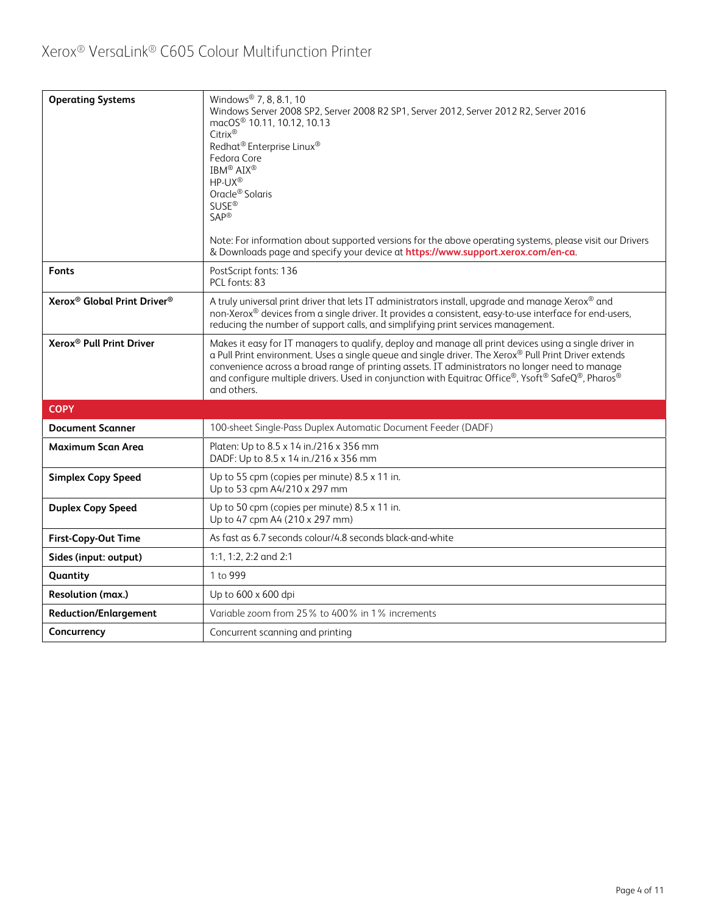| <b>Operating Systems</b>                            | Windows <sup>®</sup> 7, 8, 8.1, 10<br>Windows Server 2008 SP2, Server 2008 R2 SP1, Server 2012, Server 2012 R2, Server 2016<br>macOS <sup>®</sup> 10.11, 10.12, 10.13<br>Citrix®<br>Redhat <sup>®</sup> Enterprise Linux <sup>®</sup><br>Fedora Core<br>IBM <sup>®</sup> AIX <sup>®</sup><br>HP-UX®<br>Oracle <sup>®</sup> Solaris<br><b>SUSE®</b><br>$SAP^®$<br>Note: For information about supported versions for the above operating systems, please visit our Drivers<br>& Downloads page and specify your device at https://www.support.xerox.com/en-ca. |
|-----------------------------------------------------|---------------------------------------------------------------------------------------------------------------------------------------------------------------------------------------------------------------------------------------------------------------------------------------------------------------------------------------------------------------------------------------------------------------------------------------------------------------------------------------------------------------------------------------------------------------|
| <b>Fonts</b>                                        | PostScript fonts: 136<br>PCL fonts: 83                                                                                                                                                                                                                                                                                                                                                                                                                                                                                                                        |
| Xerox <sup>®</sup> Global Print Driver <sup>®</sup> | A truly universal print driver that lets IT administrators install, upgrade and manage Xerox® and<br>non-Xerox® devices from a single driver. It provides a consistent, easy-to-use interface for end-users,<br>reducing the number of support calls, and simplifying print services management.                                                                                                                                                                                                                                                              |
| Xerox <sup>®</sup> Pull Print Driver                | Makes it easy for IT managers to qualify, deploy and manage all print devices using a single driver in<br>a Pull Print environment. Uses a single queue and single driver. The Xerox® Pull Print Driver extends<br>convenience across a broad range of printing assets. IT administrators no longer need to manage<br>and configure multiple drivers. Used in conjunction with Equitrac Office®, Ysoft® SafeQ®, Pharos®<br>and others.                                                                                                                        |
| <b>COPY</b>                                         |                                                                                                                                                                                                                                                                                                                                                                                                                                                                                                                                                               |
| <b>Document Scanner</b>                             | 100-sheet Single-Pass Duplex Automatic Document Feeder (DADF)                                                                                                                                                                                                                                                                                                                                                                                                                                                                                                 |
| <b>Maximum Scan Area</b>                            | Platen: Up to 8.5 x 14 in./216 x 356 mm<br>DADF: Up to 8.5 x 14 in./216 x 356 mm                                                                                                                                                                                                                                                                                                                                                                                                                                                                              |
| <b>Simplex Copy Speed</b>                           | Up to 55 cpm (copies per minute) 8.5 x 11 in.<br>Up to 53 cpm A4/210 x 297 mm                                                                                                                                                                                                                                                                                                                                                                                                                                                                                 |
| <b>Duplex Copy Speed</b>                            | Up to 50 cpm (copies per minute) 8.5 x 11 in.<br>Up to 47 cpm A4 (210 x 297 mm)                                                                                                                                                                                                                                                                                                                                                                                                                                                                               |
| <b>First-Copy-Out Time</b>                          | As fast as 6.7 seconds colour/4.8 seconds black-and-white                                                                                                                                                                                                                                                                                                                                                                                                                                                                                                     |
| Sides (input: output)                               | 1:1, 1:2, 2:2 and 2:1                                                                                                                                                                                                                                                                                                                                                                                                                                                                                                                                         |
| Quantity                                            | 1 to 999                                                                                                                                                                                                                                                                                                                                                                                                                                                                                                                                                      |
| Resolution (max.)                                   | Up to 600 x 600 dpi                                                                                                                                                                                                                                                                                                                                                                                                                                                                                                                                           |
| <b>Reduction/Enlargement</b>                        | Variable zoom from 25% to 400% in 1% increments                                                                                                                                                                                                                                                                                                                                                                                                                                                                                                               |
| Concurrency                                         | Concurrent scanning and printing                                                                                                                                                                                                                                                                                                                                                                                                                                                                                                                              |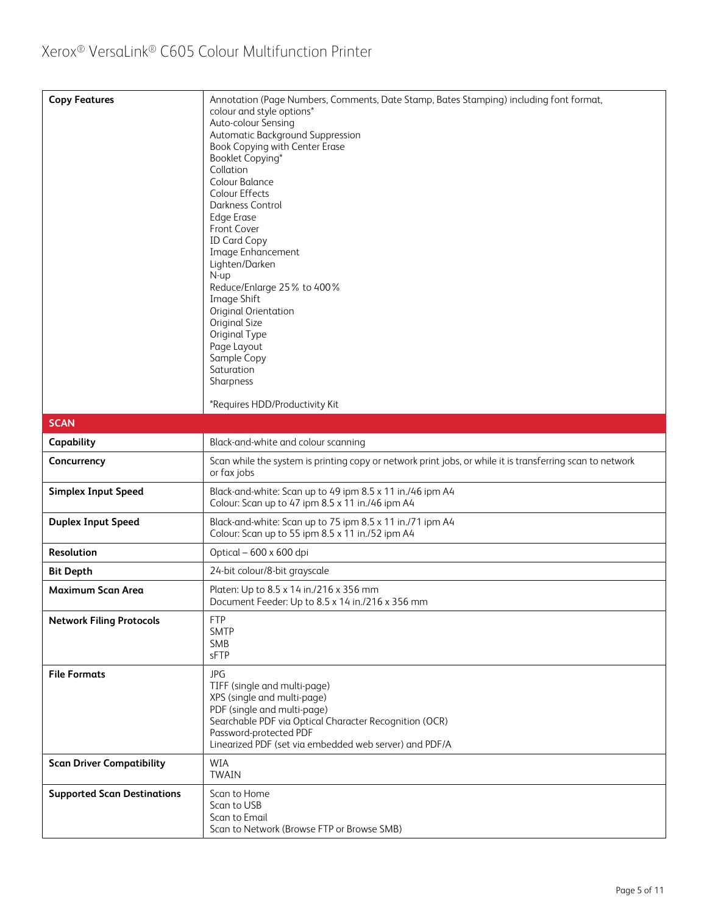| <b>Copy Features</b>               | Annotation (Page Numbers, Comments, Date Stamp, Bates Stamping) including font format,<br>colour and style options*<br>Auto-colour Sensing<br>Automatic Background Suppression<br>Book Copying with Center Erase<br>Booklet Copying*<br>Collation<br>Colour Balance<br>Colour Effects<br>Darkness Control<br><b>Edge Erase</b><br>Front Cover<br><b>ID Card Copy</b><br>Image Enhancement<br>Lighten/Darken<br>N-up<br>Reduce/Enlarge 25% to 400%<br>Image Shift<br>Original Orientation<br>Original Size<br>Original Type<br>Page Layout<br>Sample Copy<br>Saturation<br>Sharpness<br>*Requires HDD/Productivity Kit |
|------------------------------------|-----------------------------------------------------------------------------------------------------------------------------------------------------------------------------------------------------------------------------------------------------------------------------------------------------------------------------------------------------------------------------------------------------------------------------------------------------------------------------------------------------------------------------------------------------------------------------------------------------------------------|
| <b>SCAN</b>                        |                                                                                                                                                                                                                                                                                                                                                                                                                                                                                                                                                                                                                       |
| Capability                         | Black-and-white and colour scanning                                                                                                                                                                                                                                                                                                                                                                                                                                                                                                                                                                                   |
| Concurrency                        | Scan while the system is printing copy or network print jobs, or while it is transferring scan to network<br>or fax jobs                                                                                                                                                                                                                                                                                                                                                                                                                                                                                              |
| <b>Simplex Input Speed</b>         | Black-and-white: Scan up to 49 ipm 8.5 x 11 in./46 ipm A4<br>Colour: Scan up to 47 ipm 8.5 x 11 in./46 ipm A4                                                                                                                                                                                                                                                                                                                                                                                                                                                                                                         |
| <b>Duplex Input Speed</b>          | Black-and-white: Scan up to 75 ipm 8.5 x 11 in./71 ipm A4<br>Colour: Scan up to 55 ipm 8.5 x 11 in./52 ipm A4                                                                                                                                                                                                                                                                                                                                                                                                                                                                                                         |
| Resolution                         | Optical – 600 x 600 dpi                                                                                                                                                                                                                                                                                                                                                                                                                                                                                                                                                                                               |
| <b>Bit Depth</b>                   | 24-bit colour/8-bit grayscale                                                                                                                                                                                                                                                                                                                                                                                                                                                                                                                                                                                         |
| Maximum Scan Area                  | Platen: Up to 8.5 x 14 in./216 x 356 mm<br>Document Feeder: Up to 8.5 x 14 in./216 x 356 mm                                                                                                                                                                                                                                                                                                                                                                                                                                                                                                                           |
| <b>Network Filing Protocols</b>    | <b>FTP</b><br><b>SMTP</b><br><b>SMB</b><br>sFTP                                                                                                                                                                                                                                                                                                                                                                                                                                                                                                                                                                       |
| <b>File Formats</b>                | <b>JPG</b><br>TIFF (single and multi-page)<br>XPS (single and multi-page)<br>PDF (single and multi-page)<br>Searchable PDF via Optical Character Recognition (OCR)<br>Password-protected PDF<br>Linearized PDF (set via embedded web server) and PDF/A                                                                                                                                                                                                                                                                                                                                                                |
| <b>Scan Driver Compatibility</b>   | WIA<br><b>TWAIN</b>                                                                                                                                                                                                                                                                                                                                                                                                                                                                                                                                                                                                   |
| <b>Supported Scan Destinations</b> | Scan to Home<br>Scan to USB<br>Scan to Email<br>Scan to Network (Browse FTP or Browse SMB)                                                                                                                                                                                                                                                                                                                                                                                                                                                                                                                            |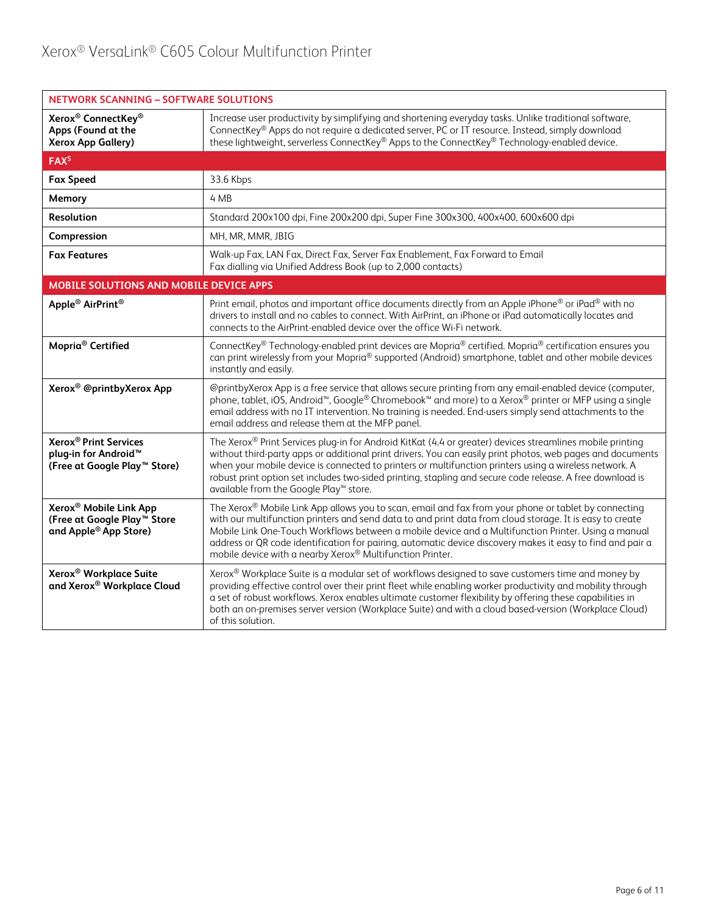| <b>NETWORK SCANNING - SOFTWARE SOLUTIONS</b>                                                                            |                                                                                                                                                                                                                                                                                                                                                                                                                                                                                                    |  |  |
|-------------------------------------------------------------------------------------------------------------------------|----------------------------------------------------------------------------------------------------------------------------------------------------------------------------------------------------------------------------------------------------------------------------------------------------------------------------------------------------------------------------------------------------------------------------------------------------------------------------------------------------|--|--|
| Xerox <sup>®</sup> ConnectKey <sup>®</sup><br>Apps (Found at the<br><b>Xerox App Gallery)</b>                           | Increase user productivity by simplifying and shortening everyday tasks. Unlike traditional software,<br>ConnectKey® Apps do not require a dedicated server, PC or IT resource. Instead, simply download<br>these lightweight, serverless ConnectKey® Apps to the ConnectKey® Technology-enabled device.                                                                                                                                                                                           |  |  |
| FAX <sup>5</sup>                                                                                                        |                                                                                                                                                                                                                                                                                                                                                                                                                                                                                                    |  |  |
| <b>Fax Speed</b>                                                                                                        | 33.6 Kbps                                                                                                                                                                                                                                                                                                                                                                                                                                                                                          |  |  |
| Memory                                                                                                                  | 4 MB                                                                                                                                                                                                                                                                                                                                                                                                                                                                                               |  |  |
| Resolution                                                                                                              | Standard 200x100 dpi, Fine 200x200 dpi, Super Fine 300x300, 400x400, 600x600 dpi                                                                                                                                                                                                                                                                                                                                                                                                                   |  |  |
| Compression                                                                                                             | MH, MR, MMR, JBIG                                                                                                                                                                                                                                                                                                                                                                                                                                                                                  |  |  |
| <b>Fax Features</b>                                                                                                     | Walk-up Fax, LAN Fax, Direct Fax, Server Fax Enablement, Fax Forward to Email<br>Fax dialling via Unified Address Book (up to 2,000 contacts)                                                                                                                                                                                                                                                                                                                                                      |  |  |
| <b>MOBILE SOLUTIONS AND MOBILE DEVICE APPS</b>                                                                          |                                                                                                                                                                                                                                                                                                                                                                                                                                                                                                    |  |  |
| Apple <sup>®</sup> AirPrint <sup>®</sup>                                                                                | Print email, photos and important office documents directly from an Apple iPhone® or iPad® with no<br>drivers to install and no cables to connect. With AirPrint, an iPhone or iPad automatically locates and<br>connects to the AirPrint-enabled device over the office Wi-Fi network.                                                                                                                                                                                                            |  |  |
| Mopria <sup>®</sup> Certified                                                                                           | ConnectKey® Technology-enabled print devices are Mopria® certified. Mopria® certification ensures you<br>can print wirelessly from your Mopria® supported (Android) smartphone, tablet and other mobile devices<br>instantly and easily.                                                                                                                                                                                                                                                           |  |  |
| Xerox <sup>®</sup> @printbyXerox App                                                                                    | @printbyXerox App is a free service that allows secure printing from any email-enabled device (computer,<br>phone, tablet, iOS, Android <sup>™</sup> , Google® Chromebook™ and more) to a Xerox® printer or MFP using a single<br>email address with no IT intervention. No training is needed. End-users simply send attachments to the<br>email address and release them at the MFP panel.                                                                                                       |  |  |
| <b>Xerox<sup>®</sup> Print Services</b><br>plug-in for Android <sup>™</sup><br>(Free at Google Play <sup>™</sup> Store) | The Xerox® Print Services plug-in for Android KitKat (4.4 or greater) devices streamlines mobile printing<br>without third-party apps or additional print drivers. You can easily print photos, web pages and documents<br>when your mobile device is connected to printers or multifunction printers using a wireless network. A<br>robust print option set includes two-sided printing, stapling and secure code release. A free download is<br>available from the Google Play™ store.           |  |  |
| Xerox <sup>®</sup> Mobile Link App<br>(Free at Google Play™ Store<br>and Apple <sup>®</sup> App Store)                  | The Xerox® Mobile Link App allows you to scan, email and fax from your phone or tablet by connecting<br>with our multifunction printers and send data to and print data from cloud storage. It is easy to create<br>Mobile Link One-Touch Workflows between a mobile device and a Multifunction Printer. Using a manual<br>address or QR code identification for pairing, automatic device discovery makes it easy to find and pair a<br>mobile device with a nearby Xerox® Multifunction Printer. |  |  |
| Xerox <sup>®</sup> Workplace Suite<br>and Xerox® Workplace Cloud                                                        | Xerox® Workplace Suite is a modular set of workflows designed to save customers time and money by<br>providing effective control over their print fleet while enabling worker productivity and mobility through<br>a set of robust workflows. Xerox enables ultimate customer flexibility by offering these capabilities in<br>both an on-premises server version (Workplace Suite) and with a cloud based-version (Workplace Cloud)<br>of this solution.                                          |  |  |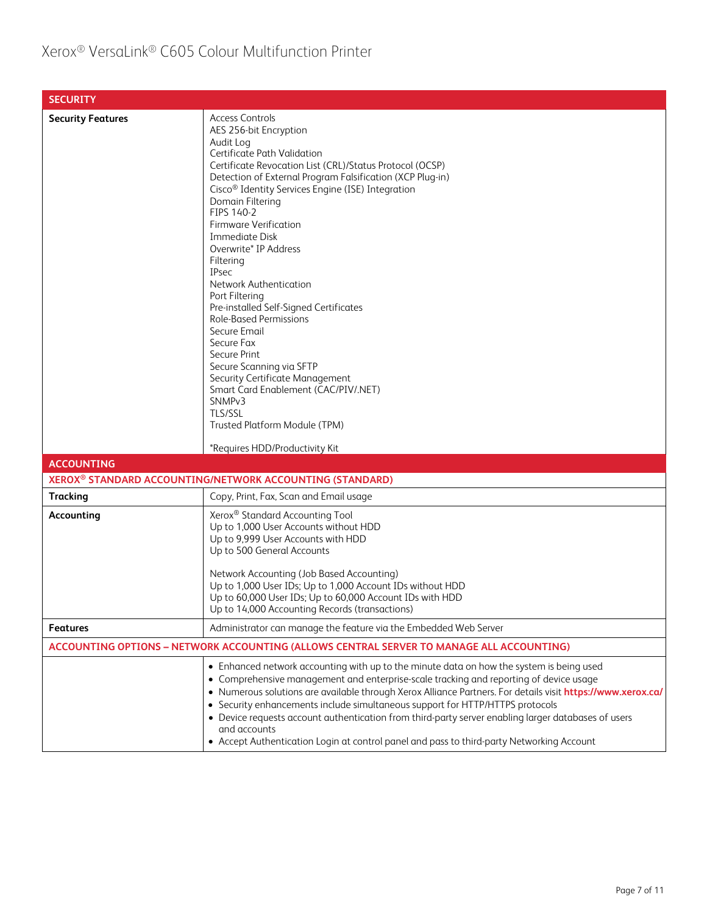#### Xerox® VersaLink® C605 Colour Multifunction Printer

| <b>SECURITY</b>                                                                          |                                                                                                                                                                                                                                                                                                                                                                                                                                                                                                                                                                                                                                                                                                                                                                                                                         |  |
|------------------------------------------------------------------------------------------|-------------------------------------------------------------------------------------------------------------------------------------------------------------------------------------------------------------------------------------------------------------------------------------------------------------------------------------------------------------------------------------------------------------------------------------------------------------------------------------------------------------------------------------------------------------------------------------------------------------------------------------------------------------------------------------------------------------------------------------------------------------------------------------------------------------------------|--|
| <b>Security Features</b>                                                                 | <b>Access Controls</b><br>AES 256-bit Encryption<br>Audit Log<br>Certificate Path Validation<br>Certificate Revocation List (CRL)/Status Protocol (OCSP)<br>Detection of External Program Falsification (XCP Plug-in)<br>Cisco <sup>®</sup> Identity Services Engine (ISE) Integration<br>Domain Filtering<br>FIPS 140-2<br><b>Firmware Verification</b><br><b>Immediate Disk</b><br>Overwrite* IP Address<br>Filtering<br><b>IPsec</b><br>Network Authentication<br>Port Filtering<br>Pre-installed Self-Signed Certificates<br><b>Role-Based Permissions</b><br>Secure Email<br>Secure Fax<br>Secure Print<br>Secure Scanning via SFTP<br>Security Certificate Management<br>Smart Card Enablement (CAC/PIV/.NET)<br>SNMP <sub>v3</sub><br>TLS/SSL<br>Trusted Platform Module (TPM)<br>*Requires HDD/Productivity Kit |  |
| <b>ACCOUNTING</b>                                                                        | XEROX <sup>®</sup> STANDARD ACCOUNTING/NETWORK ACCOUNTING (STANDARD)                                                                                                                                                                                                                                                                                                                                                                                                                                                                                                                                                                                                                                                                                                                                                    |  |
| <b>Tracking</b>                                                                          | Copy, Print, Fax, Scan and Email usage                                                                                                                                                                                                                                                                                                                                                                                                                                                                                                                                                                                                                                                                                                                                                                                  |  |
| Accounting                                                                               | Xerox <sup>®</sup> Standard Accounting Tool<br>Up to 1,000 User Accounts without HDD<br>Up to 9,999 User Accounts with HDD<br>Up to 500 General Accounts<br>Network Accounting (Job Based Accounting)<br>Up to 1,000 User IDs; Up to 1,000 Account IDs without HDD<br>Up to 60,000 User IDs; Up to 60,000 Account IDs with HDD<br>Up to 14,000 Accounting Records (transactions)                                                                                                                                                                                                                                                                                                                                                                                                                                        |  |
| <b>Features</b>                                                                          | Administrator can manage the feature via the Embedded Web Server                                                                                                                                                                                                                                                                                                                                                                                                                                                                                                                                                                                                                                                                                                                                                        |  |
| ACCOUNTING OPTIONS - NETWORK ACCOUNTING (ALLOWS CENTRAL SERVER TO MANAGE ALL ACCOUNTING) |                                                                                                                                                                                                                                                                                                                                                                                                                                                                                                                                                                                                                                                                                                                                                                                                                         |  |
|                                                                                          | • Enhanced network accounting with up to the minute data on how the system is being used<br>• Comprehensive management and enterprise-scale tracking and reporting of device usage<br>. Numerous solutions are available through Xerox Alliance Partners. For details visit https://www.xerox.ca/<br>• Security enhancements include simultaneous support for HTTP/HTTPS protocols<br>• Device requests account authentication from third-party server enabling larger databases of users<br>and accounts<br>• Accept Authentication Login at control panel and pass to third-party Networking Account                                                                                                                                                                                                                  |  |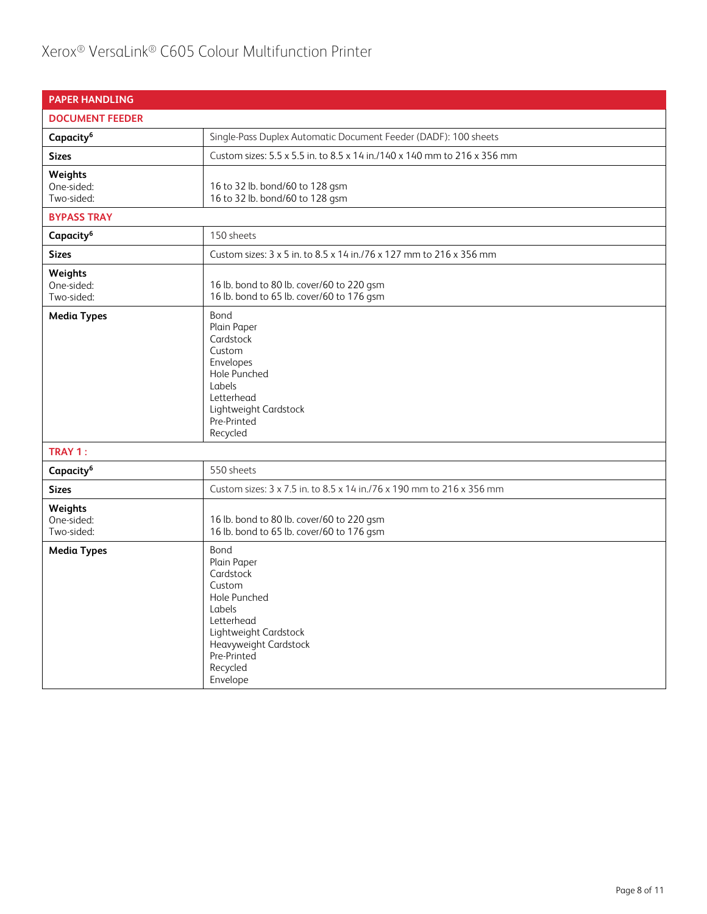| <b>PAPER HANDLING</b>               |                                                                                                                                                                             |
|-------------------------------------|-----------------------------------------------------------------------------------------------------------------------------------------------------------------------------|
| <b>DOCUMENT FEEDER</b>              |                                                                                                                                                                             |
| Capacity <sup>6</sup>               | Single-Pass Duplex Automatic Document Feeder (DADF): 100 sheets                                                                                                             |
| <b>Sizes</b>                        | Custom sizes: 5.5 x 5.5 in. to 8.5 x 14 in./140 x 140 mm to 216 x 356 mm                                                                                                    |
| Weights<br>One-sided:<br>Two-sided: | 16 to 32 lb. bond/60 to 128 gsm<br>16 to 32 lb. bond/60 to 128 gsm                                                                                                          |
| <b>BYPASS TRAY</b>                  |                                                                                                                                                                             |
| Capacity <sup>6</sup>               | 150 sheets                                                                                                                                                                  |
| <b>Sizes</b>                        | Custom sizes: 3 x 5 in. to 8.5 x 14 in./76 x 127 mm to 216 x 356 mm                                                                                                         |
| Weights<br>One-sided:<br>Two-sided: | 16 lb. bond to 80 lb. cover/60 to 220 gsm<br>16 lb. bond to 65 lb. cover/60 to 176 gsm                                                                                      |
| <b>Media Types</b>                  | Bond<br>Plain Paper<br>Cardstock<br>Custom<br>Envelopes<br>Hole Punched<br>Labels<br>Letterhead<br>Lightweight Cardstock<br>Pre-Printed<br>Recycled                         |
| TRAY 1:                             |                                                                                                                                                                             |
| Capacity <sup>6</sup>               | 550 sheets                                                                                                                                                                  |
| <b>Sizes</b>                        | Custom sizes: 3 x 7.5 in. to 8.5 x 14 in./76 x 190 mm to 216 x 356 mm                                                                                                       |
| Weights<br>One-sided:<br>Two-sided: | 16 lb. bond to 80 lb. cover/60 to 220 gsm<br>16 lb. bond to 65 lb. cover/60 to 176 gsm                                                                                      |
| <b>Media Types</b>                  | Bond<br>Plain Paper<br>Cardstock<br>Custom<br>Hole Punched<br>Labels<br>Letterhead<br>Lightweight Cardstock<br>Heavyweight Cardstock<br>Pre-Printed<br>Recycled<br>Envelope |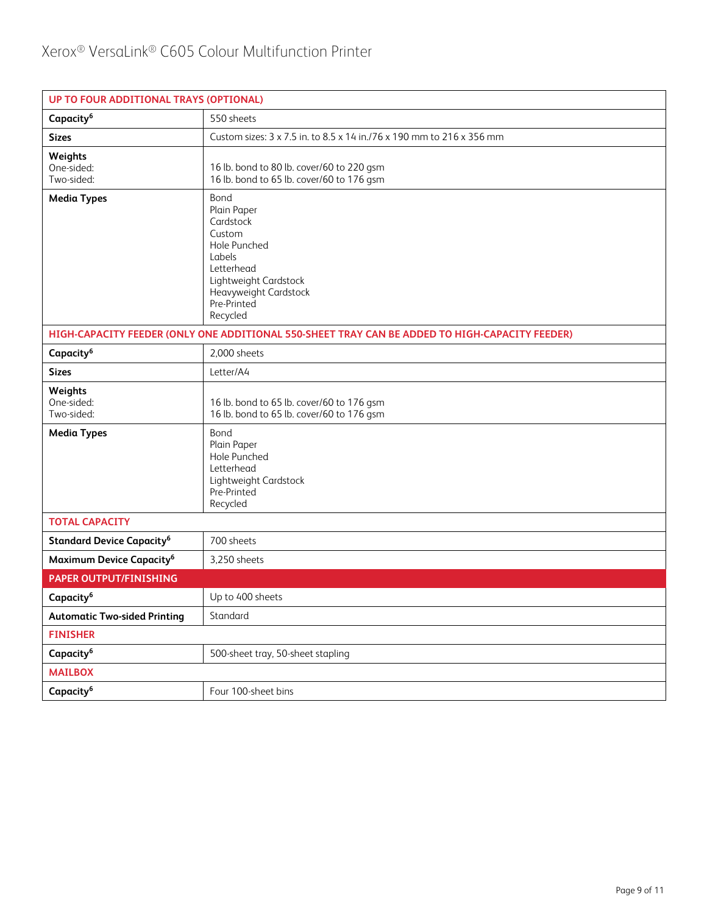| UP TO FOUR ADDITIONAL TRAYS (OPTIONAL)      |                                                                                                                                                                 |  |  |
|---------------------------------------------|-----------------------------------------------------------------------------------------------------------------------------------------------------------------|--|--|
| Capacity <sup>6</sup>                       | 550 sheets                                                                                                                                                      |  |  |
| <b>Sizes</b>                                | Custom sizes: 3 x 7.5 in. to 8.5 x 14 in./76 x 190 mm to 216 x 356 mm                                                                                           |  |  |
| Weights<br>One-sided:<br>Two-sided:         | 16 lb. bond to 80 lb. cover/60 to 220 gsm<br>16 lb. bond to 65 lb. cover/60 to 176 gsm                                                                          |  |  |
| <b>Media Types</b>                          | Bond<br>Plain Paper<br>Cardstock<br>Custom<br>Hole Punched<br>Labels<br>Letterhead<br>Lightweight Cardstock<br>Heavyweight Cardstock<br>Pre-Printed<br>Recycled |  |  |
|                                             | HIGH-CAPACITY FEEDER (ONLY ONE ADDITIONAL 550-SHEET TRAY CAN BE ADDED TO HIGH-CAPACITY FEEDER)                                                                  |  |  |
| Capacity <sup>6</sup>                       | 2,000 sheets                                                                                                                                                    |  |  |
| <b>Sizes</b>                                | Letter/A4                                                                                                                                                       |  |  |
| Weights<br>One-sided:<br>Two-sided:         | 16 lb. bond to 65 lb. cover/60 to 176 gsm<br>16 lb. bond to 65 lb. cover/60 to 176 gsm                                                                          |  |  |
| <b>Media Types</b>                          | Bond<br>Plain Paper<br>Hole Punched<br>Letterhead<br>Lightweight Cardstock<br>Pre-Printed<br>Recycled                                                           |  |  |
| <b>TOTAL CAPACITY</b>                       |                                                                                                                                                                 |  |  |
| <b>Standard Device Capacity<sup>6</sup></b> | 700 sheets                                                                                                                                                      |  |  |
| Maximum Device Capacity <sup>6</sup>        | 3,250 sheets                                                                                                                                                    |  |  |
| <b>PAPER OUTPUT/FINISHING</b>               |                                                                                                                                                                 |  |  |
| Capacity <sup>6</sup>                       | Up to 400 sheets                                                                                                                                                |  |  |
| <b>Automatic Two-sided Printing</b>         | Standard                                                                                                                                                        |  |  |
| <b>FINISHER</b>                             |                                                                                                                                                                 |  |  |
| Capacity <sup>6</sup>                       | 500-sheet tray, 50-sheet stapling                                                                                                                               |  |  |
| <b>MAILBOX</b>                              |                                                                                                                                                                 |  |  |
| Capacity <sup>6</sup>                       | Four 100-sheet bins                                                                                                                                             |  |  |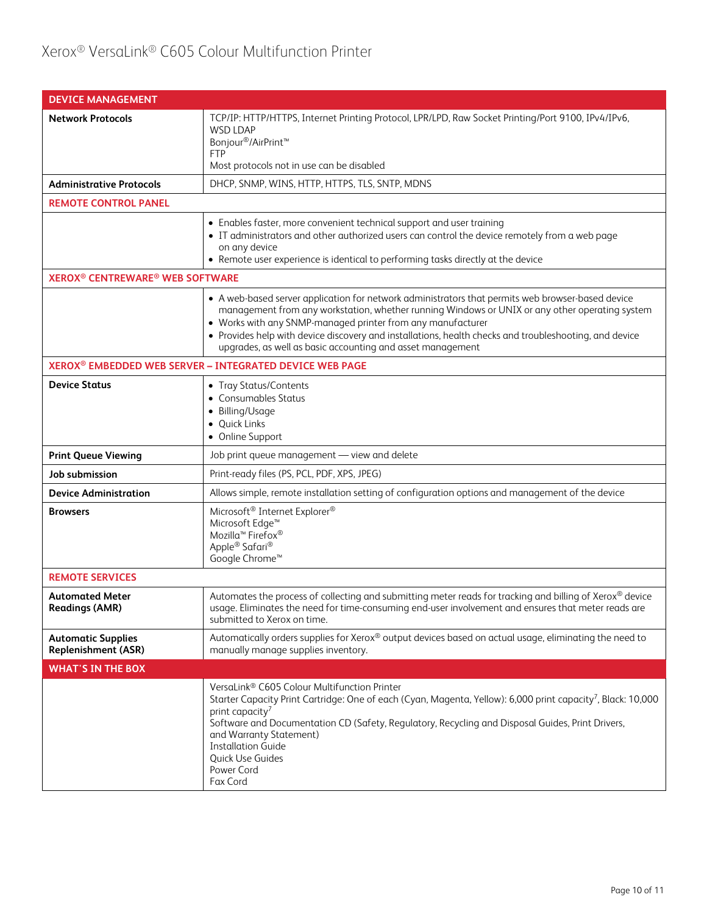### Xerox® VersaLink® C605 Colour Multifunction Printer

| <b>DEVICE MANAGEMENT</b>                                     |                                                                                                                                                                                                                                                                                                                                                                                                                                            |  |  |
|--------------------------------------------------------------|--------------------------------------------------------------------------------------------------------------------------------------------------------------------------------------------------------------------------------------------------------------------------------------------------------------------------------------------------------------------------------------------------------------------------------------------|--|--|
| <b>Network Protocols</b>                                     | TCP/IP: HTTP/HTTPS, Internet Printing Protocol, LPR/LPD, Raw Socket Printing/Port 9100, IPv4/IPv6,<br><b>WSD LDAP</b><br>Bonjour <sup>®</sup> /AirPrint <sup>™</sup><br><b>FTP</b><br>Most protocols not in use can be disabled                                                                                                                                                                                                            |  |  |
| <b>Administrative Protocols</b>                              | DHCP, SNMP, WINS, HTTP, HTTPS, TLS, SNTP, MDNS                                                                                                                                                                                                                                                                                                                                                                                             |  |  |
| <b>REMOTE CONTROL PANEL</b>                                  |                                                                                                                                                                                                                                                                                                                                                                                                                                            |  |  |
|                                                              | • Enables faster, more convenient technical support and user training<br>• IT administrators and other authorized users can control the device remotely from a web page<br>on any device<br>• Remote user experience is identical to performing tasks directly at the device                                                                                                                                                               |  |  |
| <b>XEROX<sup>®</sup> CENTREWARE<sup>®</sup> WEB SOFTWARE</b> |                                                                                                                                                                                                                                                                                                                                                                                                                                            |  |  |
|                                                              | • A web-based server application for network administrators that permits web browser-based device<br>management from any workstation, whether running Windows or UNIX or any other operating system<br>• Works with any SNMP-managed printer from any manufacturer<br>• Provides help with device discovery and installations, health checks and troubleshooting, and device<br>upgrades, as well as basic accounting and asset management |  |  |
|                                                              | XEROX <sup>®</sup> EMBEDDED WEB SERVER - INTEGRATED DEVICE WEB PAGE                                                                                                                                                                                                                                                                                                                                                                        |  |  |
| <b>Device Status</b>                                         | • Tray Status/Contents<br>• Consumables Status<br>• Billing/Usage<br>· Quick Links<br>• Online Support                                                                                                                                                                                                                                                                                                                                     |  |  |
| <b>Print Queue Viewing</b>                                   | Job print queue management - view and delete                                                                                                                                                                                                                                                                                                                                                                                               |  |  |
| Job submission                                               | Print-ready files (PS, PCL, PDF, XPS, JPEG)                                                                                                                                                                                                                                                                                                                                                                                                |  |  |
| <b>Device Administration</b>                                 | Allows simple, remote installation setting of configuration options and management of the device                                                                                                                                                                                                                                                                                                                                           |  |  |
| <b>Browsers</b>                                              | Microsoft <sup>®</sup> Internet Explorer <sup>®</sup><br>Microsoft Edge <sup>™</sup><br>Mozilla <sup>™</sup> Firefox <sup>®</sup><br>Apple® Safari®<br>Google Chrome™                                                                                                                                                                                                                                                                      |  |  |
| <b>REMOTE SERVICES</b>                                       |                                                                                                                                                                                                                                                                                                                                                                                                                                            |  |  |
| <b>Automated Meter</b><br><b>Readings (AMR)</b>              | Automates the process of collecting and submitting meter reads for tracking and billing of Xerox® device<br>usage. Eliminates the need for time-consuming end-user involvement and ensures that meter reads are<br>submitted to Xerox on time.                                                                                                                                                                                             |  |  |
| <b>Automatic Supplies</b><br><b>Replenishment (ASR)</b>      | Automatically orders supplies for Xerox® output devices based on actual usage, eliminating the need to<br>manually manage supplies inventory.                                                                                                                                                                                                                                                                                              |  |  |
| <b>WHAT'S IN THE BOX</b>                                     |                                                                                                                                                                                                                                                                                                                                                                                                                                            |  |  |
|                                                              | VersaLink® C605 Colour Multifunction Printer<br>Starter Capacity Print Cartridge: One of each (Cyan, Magenta, Yellow): 6,000 print capacity <sup>7</sup> , Black: 10,000<br>print capacity <sup>7</sup><br>Software and Documentation CD (Safety, Regulatory, Recycling and Disposal Guides, Print Drivers,<br>and Warranty Statement)<br><b>Installation Guide</b><br>Quick Use Guides<br>Power Cord<br>Fax Cord                          |  |  |